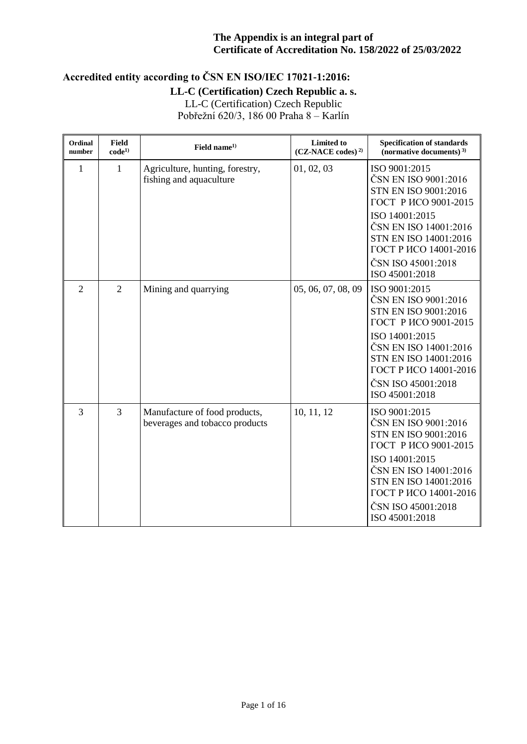# **Accredited entity according to ČSN EN ISO/IEC 17021-1:2016:**

## **LL-C (Certification) Czech Republic a. s.**

| Ordinal<br>number | <b>Field</b><br>$code^{1)}$ | Field name <sup>1)</sup>                                        | <b>Limited to</b><br>$(CZ-NACE codes)^{2}$ | <b>Specification of standards</b><br>(normative documents) $3$ )                                                                                                                                                           |
|-------------------|-----------------------------|-----------------------------------------------------------------|--------------------------------------------|----------------------------------------------------------------------------------------------------------------------------------------------------------------------------------------------------------------------------|
| 1                 | 1                           | Agriculture, hunting, forestry,<br>fishing and aquaculture      | 01, 02, 03                                 | ISO 9001:2015<br>ČSN EN ISO 9001:2016<br>STN EN ISO 9001:2016<br>ГОСТ Р ИСО 9001-2015                                                                                                                                      |
|                   |                             |                                                                 |                                            | ISO 14001:2015<br>ČSN EN ISO 14001:2016<br>STN EN ISO 14001:2016<br>ГОСТ Р ИСО 14001-2016<br>ČSN ISO 45001:2018<br>ISO 45001:2018                                                                                          |
| $\overline{2}$    | $\overline{2}$              | Mining and quarrying                                            | 05, 06, 07, 08, 09                         | ISO 9001:2015<br>ČSN EN ISO 9001:2016<br>STN EN ISO 9001:2016<br>ГОСТ Р ИСО 9001-2015<br>ISO 14001:2015<br>ČSN EN ISO 14001:2016<br>STN EN ISO 14001:2016<br>ГОСТ Р ИСО 14001-2016<br>ČSN ISO 45001:2018<br>ISO 45001:2018 |
| 3                 | 3                           | Manufacture of food products,<br>beverages and tobacco products | 10, 11, 12                                 | ISO 9001:2015<br>ČSN EN ISO 9001:2016<br>STN EN ISO 9001:2016<br>ГОСТ Р ИСО 9001-2015<br>ISO 14001:2015<br>ČSN EN ISO 14001:2016<br>STN EN ISO 14001:2016<br>ГОСТ Р ИСО 14001-2016<br>ČSN ISO 45001:2018<br>ISO 45001:2018 |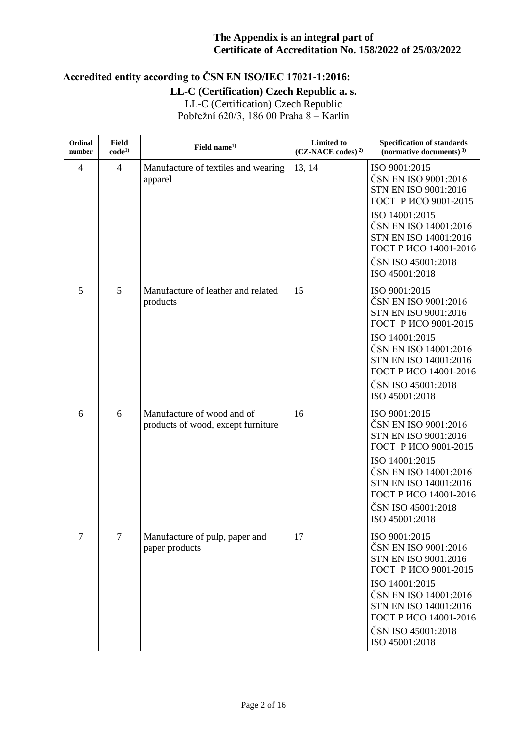# **Accredited entity according to ČSN EN ISO/IEC 17021-1:2016:**

# **LL-C (Certification) Czech Republic a. s.**

| Ordinal<br>number | <b>Field</b><br>$code^{1)}$ | Field name $1$                                                   | <b>Limited to</b><br>$(CZ-NACE codes)^{2}$ | <b>Specification of standards</b><br>(normative documents) $3$ )                                                                                                                                                           |
|-------------------|-----------------------------|------------------------------------------------------------------|--------------------------------------------|----------------------------------------------------------------------------------------------------------------------------------------------------------------------------------------------------------------------------|
| 4                 | $\overline{4}$              | Manufacture of textiles and wearing<br>apparel                   | 13, 14                                     | ISO 9001:2015<br>ČSN EN ISO 9001:2016<br>STN EN ISO 9001:2016<br>ГОСТ Р ИСО 9001-2015<br>ISO 14001:2015<br>ČSN EN ISO 14001:2016<br>STN EN ISO 14001:2016<br>ГОСТ Р ИСО 14001-2016<br>ČSN ISO 45001:2018<br>ISO 45001:2018 |
| 5                 | 5                           | Manufacture of leather and related<br>products                   | 15                                         | ISO 9001:2015<br>ČSN EN ISO 9001:2016<br>STN EN ISO 9001:2016<br>ГОСТ Р ИСО 9001-2015<br>ISO 14001:2015<br>ČSN EN ISO 14001:2016<br>STN EN ISO 14001:2016<br>ГОСТ Р ИСО 14001-2016<br>ČSN ISO 45001:2018<br>ISO 45001:2018 |
| 6                 | 6                           | Manufacture of wood and of<br>products of wood, except furniture | 16                                         | ISO 9001:2015<br>ČSN EN ISO 9001:2016<br>STN EN ISO 9001:2016<br>ГОСТ Р ИСО 9001-2015<br>ISO 14001:2015<br>ČSN EN ISO 14001:2016<br>STN EN ISO 14001:2016<br>ГОСТ Р ИСО 14001-2016<br>ČSN ISO 45001:2018<br>ISO 45001:2018 |
| 7                 | $\overline{7}$              | Manufacture of pulp, paper and<br>paper products                 | 17                                         | ISO 9001:2015<br>ČSN EN ISO 9001:2016<br>STN EN ISO 9001:2016<br>ГОСТ Р ИСО 9001-2015<br>ISO 14001:2015<br>ČSN EN ISO 14001:2016<br>STN EN ISO 14001:2016<br>ГОСТ Р ИСО 14001-2016<br>ČSN ISO 45001:2018<br>ISO 45001:2018 |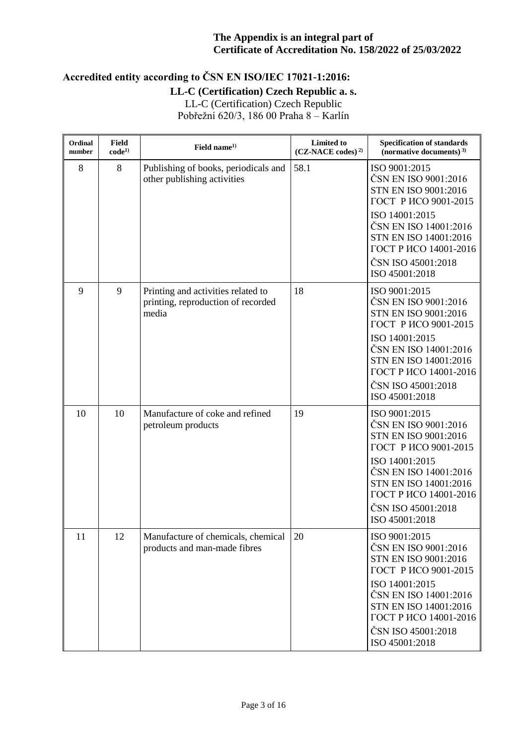# **Accredited entity according to ČSN EN ISO/IEC 17021-1:2016:**

## **LL-C (Certification) Czech Republic a. s.**

| Ordinal<br>number | <b>Field</b><br>$code^{1)}$ | Field name <sup>1)</sup>                                                          | <b>Limited to</b><br>$(CZ-NACE codes)^{2}$ | <b>Specification of standards</b><br>(normative documents) $3$ )                                                                                                                                                           |
|-------------------|-----------------------------|-----------------------------------------------------------------------------------|--------------------------------------------|----------------------------------------------------------------------------------------------------------------------------------------------------------------------------------------------------------------------------|
| 8                 | 8                           | Publishing of books, periodicals and<br>other publishing activities               | 58.1                                       | ISO 9001:2015<br>ČSN EN ISO 9001:2016<br>STN EN ISO 9001:2016<br>ГОСТ Р ИСО 9001-2015<br>ISO 14001:2015<br>ČSN EN ISO 14001:2016<br>STN EN ISO 14001:2016<br>ГОСТ Р ИСО 14001-2016<br>ČSN ISO 45001:2018<br>ISO 45001:2018 |
| 9                 | 9                           | Printing and activities related to<br>printing, reproduction of recorded<br>media | 18                                         | ISO 9001:2015<br>ČSN EN ISO 9001:2016<br>STN EN ISO 9001:2016<br>ГОСТ Р ИСО 9001-2015<br>ISO 14001:2015<br>ČSN EN ISO 14001:2016<br>STN EN ISO 14001:2016<br>ГОСТ Р ИСО 14001-2016<br>ČSN ISO 45001:2018<br>ISO 45001:2018 |
| 10                | 10                          | Manufacture of coke and refined<br>petroleum products                             | 19                                         | ISO 9001:2015<br>ČSN EN ISO 9001:2016<br>STN EN ISO 9001:2016<br>ГОСТ Р ИСО 9001-2015<br>ISO 14001:2015<br>ČSN EN ISO 14001:2016<br>STN EN ISO 14001:2016<br>ГОСТ Р ИСО 14001-2016<br>ČSN ISO 45001:2018<br>ISO 45001:2018 |
| 11                | 12                          | Manufacture of chemicals, chemical<br>products and man-made fibres                | 20                                         | ISO 9001:2015<br>ČSN EN ISO 9001:2016<br>STN EN ISO 9001:2016<br>ГОСТ Р ИСО 9001-2015<br>ISO 14001:2015<br>ČSN EN ISO 14001:2016<br>STN EN ISO 14001:2016<br>ГОСТ Р ИСО 14001-2016<br>ČSN ISO 45001:2018<br>ISO 45001:2018 |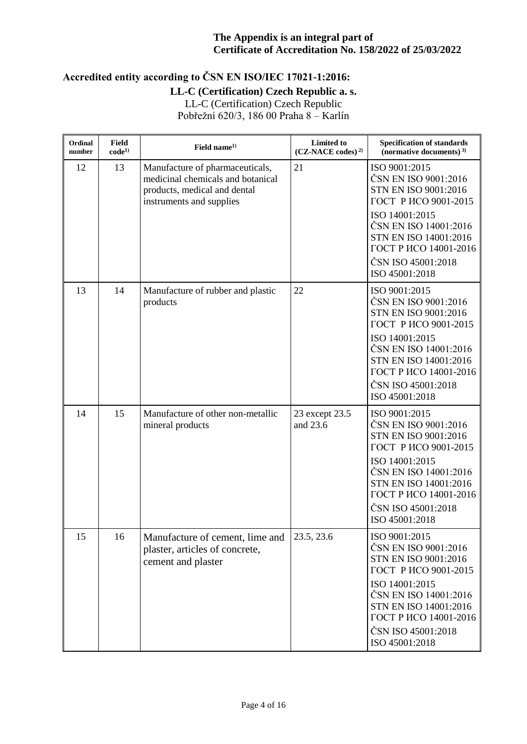# **Accredited entity according to ČSN EN ISO/IEC 17021-1:2016:**

## **LL-C (Certification) Czech Republic a. s.**

| Ordinal<br>number | <b>Field</b><br>$code^{1)}$ | Field name <sup>1)</sup>                                                                                                         | Limited to<br>$(CZ-NACE codes)^{2}$ | <b>Specification of standards</b><br>(normative documents) $3$ )                                                                                                                                                           |
|-------------------|-----------------------------|----------------------------------------------------------------------------------------------------------------------------------|-------------------------------------|----------------------------------------------------------------------------------------------------------------------------------------------------------------------------------------------------------------------------|
| 12                | 13                          | Manufacture of pharmaceuticals,<br>medicinal chemicals and botanical<br>products, medical and dental<br>instruments and supplies | 21                                  | ISO 9001:2015<br>ČSN EN ISO 9001:2016<br>STN EN ISO 9001:2016<br>ГОСТ Р ИСО 9001-2015<br>ISO 14001:2015<br>ČSN EN ISO 14001:2016<br>STN EN ISO 14001:2016<br>ГОСТ Р ИСО 14001-2016<br>ČSN ISO 45001:2018<br>ISO 45001:2018 |
| 13                | 14                          | Manufacture of rubber and plastic<br>products                                                                                    | 22                                  | ISO 9001:2015<br>ČSN EN ISO 9001:2016<br>STN EN ISO 9001:2016<br>ГОСТ Р ИСО 9001-2015<br>ISO 14001:2015<br>ČSN EN ISO 14001:2016<br>STN EN ISO 14001:2016<br>ГОСТ Р ИСО 14001-2016<br>ČSN ISO 45001:2018<br>ISO 45001:2018 |
| 14                | 15                          | Manufacture of other non-metallic<br>mineral products                                                                            | 23 except 23.5<br>and 23.6          | ISO 9001:2015<br>ČSN EN ISO 9001:2016<br>STN EN ISO 9001:2016<br>ГОСТ Р ИСО 9001-2015<br>ISO 14001:2015<br>ČSN EN ISO 14001:2016<br>STN EN ISO 14001:2016<br>ГОСТ Р ИСО 14001-2016<br>ČSN ISO 45001:2018<br>ISO 45001:2018 |
| 15                | 16                          | Manufacture of cement, lime and<br>plaster, articles of concrete,<br>cement and plaster                                          | 23.5, 23.6                          | ISO 9001:2015<br>ČSN EN ISO 9001:2016<br>STN EN ISO 9001:2016<br>ГОСТ Р ИСО 9001-2015<br>ISO 14001:2015<br>ČSN EN ISO 14001:2016<br>STN EN ISO 14001:2016<br>ГОСТ Р ИСО 14001-2016<br>ČSN ISO 45001:2018<br>ISO 45001:2018 |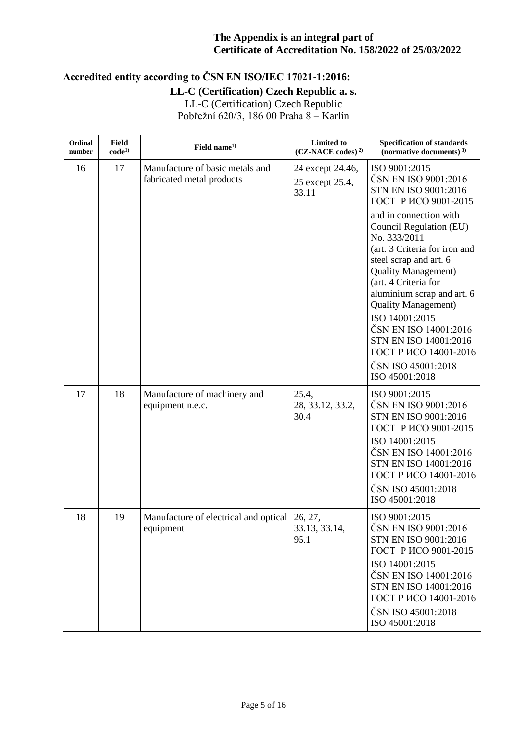# **Accredited entity according to ČSN EN ISO/IEC 17021-1:2016:**

### **LL-C (Certification) Czech Republic a. s.**

| Ordinal<br>number | <b>Field</b><br>$code^{1)}$ | Field name <sup>1)</sup>                                     | Limited to<br>$(CZ-NACE codes)^{2}$          | <b>Specification of standards</b><br>(normative documents) $3$ )                                                                                                                                                                                                                                                                                                              |
|-------------------|-----------------------------|--------------------------------------------------------------|----------------------------------------------|-------------------------------------------------------------------------------------------------------------------------------------------------------------------------------------------------------------------------------------------------------------------------------------------------------------------------------------------------------------------------------|
| 16                | 17                          | Manufacture of basic metals and<br>fabricated metal products | 24 except 24.46,<br>25 except 25.4,<br>33.11 | ISO 9001:2015<br>ČSN EN ISO 9001:2016<br>STN EN ISO 9001:2016<br>ГОСТ Р ИСО 9001-2015                                                                                                                                                                                                                                                                                         |
|                   |                             |                                                              |                                              | and in connection with<br>Council Regulation (EU)<br>No. 333/2011<br>(art. 3 Criteria for iron and<br>steel scrap and art. 6<br>Quality Management)<br>(art. 4 Criteria for<br>aluminium scrap and art. 6<br><b>Quality Management</b> )<br>ISO 14001:2015<br>ČSN EN ISO 14001:2016<br>STN EN ISO 14001:2016<br>ГОСТ Р ИСО 14001-2016<br>ČSN ISO 45001:2018<br>ISO 45001:2018 |
| 17                | 18                          | Manufacture of machinery and<br>equipment n.e.c.             | 25.4,<br>28, 33.12, 33.2,<br>30.4            | ISO 9001:2015<br>ČSN EN ISO 9001:2016<br>STN EN ISO 9001:2016<br>ГОСТ Р ИСО 9001-2015<br>ISO 14001:2015<br>ČSN EN ISO 14001:2016<br>STN EN ISO 14001:2016<br>ГОСТ Р ИСО 14001-2016<br>ČSN ISO 45001:2018<br>ISO 45001:2018                                                                                                                                                    |
| 18                | 19                          | Manufacture of electrical and optical<br>equipment           | 26, 27,<br>33.13, 33.14,<br>95.1             | ISO 9001:2015<br>ČSN EN ISO 9001:2016<br>STN EN ISO 9001:2016<br>ГОСТ Р ИСО 9001-2015<br>ISO 14001:2015<br>ČSN EN ISO 14001:2016<br>STN EN ISO 14001:2016<br>ГОСТ Р ИСО 14001-2016<br>ČSN ISO 45001:2018<br>ISO 45001:2018                                                                                                                                                    |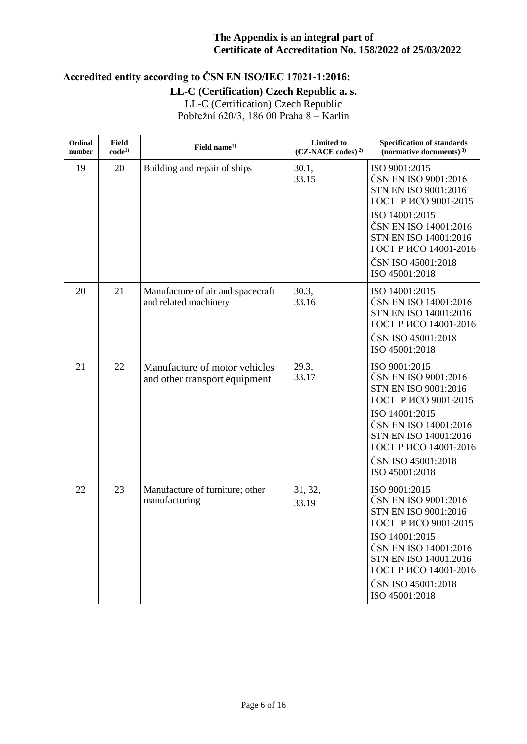# **Accredited entity according to ČSN EN ISO/IEC 17021-1:2016:**

## **LL-C (Certification) Czech Republic a. s.**

| Ordinal<br>number | <b>Field</b><br>$code^{1)}$ | Field name $1)$                                                | Limited to<br>$(CZ-NACE codes)^{2}$ | <b>Specification of standards</b><br>(normative documents) $^{3)}$                                                                                                                                                         |
|-------------------|-----------------------------|----------------------------------------------------------------|-------------------------------------|----------------------------------------------------------------------------------------------------------------------------------------------------------------------------------------------------------------------------|
| 19                | 20                          | Building and repair of ships                                   | 30.1,<br>33.15                      | ISO 9001:2015<br>ČSN EN ISO 9001:2016<br>STN EN ISO 9001:2016<br>ГОСТ Р ИСО 9001-2015                                                                                                                                      |
|                   |                             |                                                                |                                     | ISO 14001:2015<br>ČSN EN ISO 14001:2016<br>STN EN ISO 14001:2016<br>ГОСТ Р ИСО 14001-2016                                                                                                                                  |
|                   |                             |                                                                |                                     | ČSN ISO 45001:2018<br>ISO 45001:2018                                                                                                                                                                                       |
| 20                | 21                          | Manufacture of air and spacecraft<br>and related machinery     | 30.3,<br>33.16                      | ISO 14001:2015<br>ČSN EN ISO 14001:2016<br>STN EN ISO 14001:2016<br>ГОСТ Р ИСО 14001-2016<br>ČSN ISO 45001:2018<br>ISO 45001:2018                                                                                          |
| 21                | 22                          | Manufacture of motor vehicles<br>and other transport equipment | 29.3,<br>33.17                      | ISO 9001:2015<br>ČSN EN ISO 9001:2016<br>STN EN ISO 9001:2016<br>ГОСТ Р ИСО 9001-2015<br>ISO 14001:2015<br>ČSN EN ISO 14001:2016<br>STN EN ISO 14001:2016<br>ГОСТ Р ИСО 14001-2016<br>ČSN ISO 45001:2018<br>ISO 45001:2018 |
| 22                | 23                          | Manufacture of furniture; other<br>manufacturing               | 31, 32,<br>33.19                    | ISO 9001:2015<br>ČSN EN ISO 9001:2016<br>STN EN ISO 9001:2016<br>ГОСТ Р ИСО 9001-2015<br>ISO 14001:2015<br>ČSN EN ISO 14001:2016<br>STN EN ISO 14001:2016<br>ГОСТ Р ИСО 14001-2016<br>ČSN ISO 45001:2018<br>ISO 45001:2018 |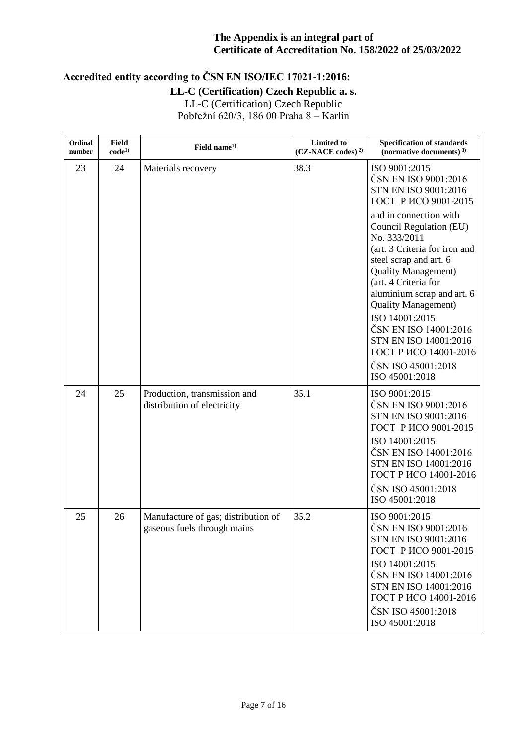# **Accredited entity according to ČSN EN ISO/IEC 17021-1:2016:**

### **LL-C (Certification) Czech Republic a. s.**

| Ordinal<br>number | Field<br>$code^{1)}$ | Field name <sup>1)</sup>                                           | <b>Limited to</b><br>$(CZ-NACE codes)^{2}$ | <b>Specification of standards</b><br>(normative documents) $3$ )                                                                                                                                                                                                                                                     |
|-------------------|----------------------|--------------------------------------------------------------------|--------------------------------------------|----------------------------------------------------------------------------------------------------------------------------------------------------------------------------------------------------------------------------------------------------------------------------------------------------------------------|
| 23                | 24                   | Materials recovery                                                 | 38.3                                       | ISO 9001:2015<br>ČSN EN ISO 9001:2016<br>STN EN ISO 9001:2016<br>ГОСТ Р ИСО 9001-2015                                                                                                                                                                                                                                |
|                   |                      |                                                                    |                                            | and in connection with<br>Council Regulation (EU)<br>No. 333/2011<br>(art. 3 Criteria for iron and<br>steel scrap and art. 6<br><b>Quality Management</b> )<br>(art. 4 Criteria for<br>aluminium scrap and art. 6<br><b>Quality Management</b> )<br>ISO 14001:2015<br>ČSN EN ISO 14001:2016<br>STN EN ISO 14001:2016 |
|                   |                      |                                                                    |                                            | ГОСТ Р ИСО 14001-2016<br>ČSN ISO 45001:2018<br>ISO 45001:2018                                                                                                                                                                                                                                                        |
| 24                | 25                   | Production, transmission and<br>distribution of electricity        | 35.1                                       | ISO 9001:2015<br>ČSN EN ISO 9001:2016<br>STN EN ISO 9001:2016<br>ГОСТ Р ИСО 9001-2015<br>ISO 14001:2015<br>ČSN EN ISO 14001:2016<br>STN EN ISO 14001:2016<br>ГОСТ Р ИСО 14001-2016<br>ČSN ISO 45001:2018<br>ISO 45001:2018                                                                                           |
| 25                | 26                   | Manufacture of gas; distribution of<br>gaseous fuels through mains | 35.2                                       | ISO 9001:2015<br>ČSN EN ISO 9001:2016<br>STN EN ISO 9001:2016<br>ГОСТ Р ИСО 9001-2015<br>ISO 14001:2015<br>ČSN EN ISO 14001:2016<br>STN EN ISO 14001:2016<br>ГОСТ Р ИСО 14001-2016<br>ČSN ISO 45001:2018<br>ISO 45001:2018                                                                                           |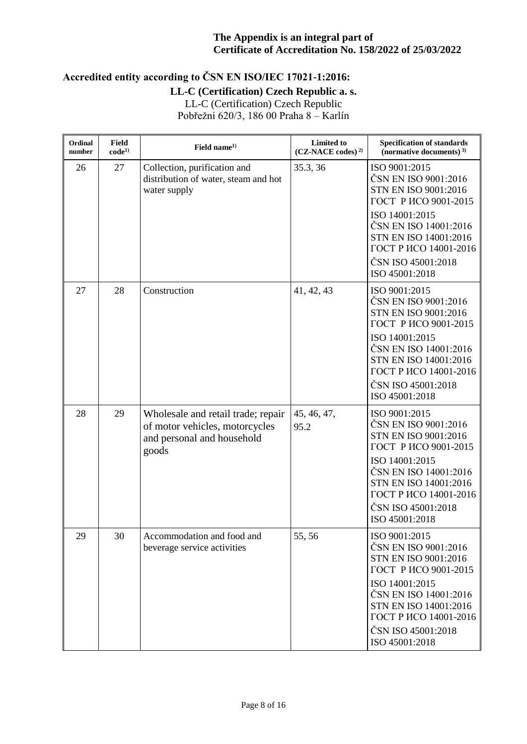# **Accredited entity according to ČSN EN ISO/IEC 17021-1:2016:**

## **LL-C (Certification) Czech Republic a. s.**

| Ordinal<br>number | <b>Field</b><br>$code^{1)}$ | Field name <sup>1)</sup>                                                                                    | Limited to<br>$(CZ-NACE codes)^{2}$ | <b>Specification of standards</b><br>(normative documents) $3$ )                                                                                                                                                           |
|-------------------|-----------------------------|-------------------------------------------------------------------------------------------------------------|-------------------------------------|----------------------------------------------------------------------------------------------------------------------------------------------------------------------------------------------------------------------------|
| 26                | 27                          | Collection, purification and<br>distribution of water, steam and hot<br>water supply                        | 35.3, 36                            | ISO 9001:2015<br>ČSN EN ISO 9001:2016<br>STN EN ISO 9001:2016<br>ГОСТ Р ИСО 9001-2015<br>ISO 14001:2015<br>ČSN EN ISO 14001:2016<br>STN EN ISO 14001:2016<br>ГОСТ Р ИСО 14001-2016<br>ČSN ISO 45001:2018<br>ISO 45001:2018 |
| 27                | 28                          | Construction                                                                                                | 41, 42, 43                          | ISO 9001:2015<br>ČSN EN ISO 9001:2016<br>STN EN ISO 9001:2016<br>ГОСТ Р ИСО 9001-2015<br>ISO 14001:2015<br>ČSN EN ISO 14001:2016<br>STN EN ISO 14001:2016<br>ГОСТ Р ИСО 14001-2016<br>ČSN ISO 45001:2018<br>ISO 45001:2018 |
| 28                | 29                          | Wholesale and retail trade; repair<br>of motor vehicles, motorcycles<br>and personal and household<br>goods | 45, 46, 47,<br>95.2                 | ISO 9001:2015<br>ČSN EN ISO 9001:2016<br>STN EN ISO 9001:2016<br>ГОСТ Р ИСО 9001-2015<br>ISO 14001:2015<br>ČSN EN ISO 14001:2016<br>STN EN ISO 14001:2016<br>ГОСТ Р ИСО 14001-2016<br>ČSN ISO 45001:2018<br>ISO 45001:2018 |
| 29                | 30                          | Accommodation and food and<br>beverage service activities                                                   | 55,56                               | ISO 9001:2015<br>ČSN EN ISO 9001:2016<br>STN EN ISO 9001:2016<br>ГОСТ Р ИСО 9001-2015<br>ISO 14001:2015<br>ČSN EN ISO 14001:2016<br>STN EN ISO 14001:2016<br>ГОСТ Р ИСО 14001-2016<br>ČSN ISO 45001:2018<br>ISO 45001:2018 |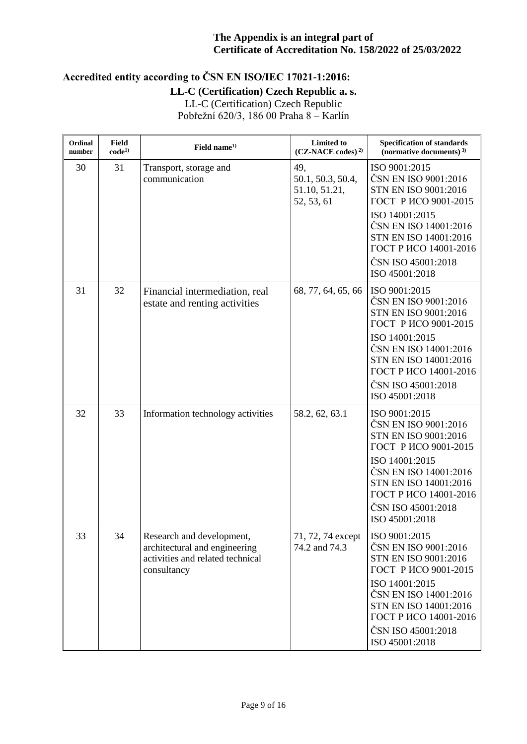# **Accredited entity according to ČSN EN ISO/IEC 17021-1:2016:**

# **LL-C (Certification) Czech Republic a. s.**

| Ordinal<br>number | <b>Field</b><br>$code^{1)}$ | Field name <sup>1)</sup>                                                                                      | <b>Limited to</b><br>$(CZ-NACE codes)^{2}$              | <b>Specification of standards</b><br>(normative documents) $^{3)}$                                                                                                                                                         |
|-------------------|-----------------------------|---------------------------------------------------------------------------------------------------------------|---------------------------------------------------------|----------------------------------------------------------------------------------------------------------------------------------------------------------------------------------------------------------------------------|
| 30                | 31                          | Transport, storage and<br>communication                                                                       | 49,<br>50.1, 50.3, 50.4,<br>51.10, 51.21,<br>52, 53, 61 | ISO 9001:2015<br>ČSN EN ISO 9001:2016<br>STN EN ISO 9001:2016<br>ГОСТ Р ИСО 9001-2015<br>ISO 14001:2015<br>ČSN EN ISO 14001:2016<br>STN EN ISO 14001:2016<br>ГОСТ Р ИСО 14001-2016<br>ČSN ISO 45001:2018<br>ISO 45001:2018 |
| 31                | 32                          | Financial intermediation, real<br>estate and renting activities                                               | 68, 77, 64, 65, 66                                      | ISO 9001:2015<br>ČSN EN ISO 9001:2016<br>STN EN ISO 9001:2016<br>ГОСТ Р ИСО 9001-2015<br>ISO 14001:2015<br>ČSN EN ISO 14001:2016<br>STN EN ISO 14001:2016<br>ГОСТ Р ИСО 14001-2016<br>ČSN ISO 45001:2018<br>ISO 45001:2018 |
| 32                | 33                          | Information technology activities                                                                             | 58.2, 62, 63.1                                          | ISO 9001:2015<br>ČSN EN ISO 9001:2016<br>STN EN ISO 9001:2016<br>ГОСТ Р ИСО 9001-2015<br>ISO 14001:2015<br>ČSN EN ISO 14001:2016<br>STN EN ISO 14001:2016<br>ГОСТ Р ИСО 14001-2016<br>ČSN ISO 45001:2018<br>ISO 45001:2018 |
| 33                | 34                          | Research and development,<br>architectural and engineering<br>activities and related technical<br>consultancy | 71, 72, 74 except<br>74.2 and 74.3                      | ISO 9001:2015<br>ČSN EN ISO 9001:2016<br>STN EN ISO 9001:2016<br>ГОСТ Р ИСО 9001-2015<br>ISO 14001:2015<br>ČSN EN ISO 14001:2016<br>STN EN ISO 14001:2016<br>ГОСТ Р ИСО 14001-2016<br>ČSN ISO 45001:2018<br>ISO 45001:2018 |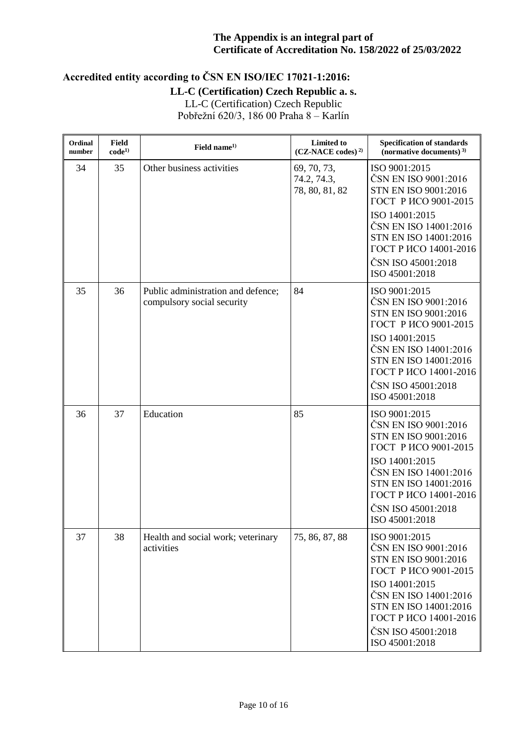# **Accredited entity according to ČSN EN ISO/IEC 17021-1:2016:**

## **LL-C (Certification) Czech Republic a. s.**

| Ordinal<br>number | <b>Field</b><br>$code^{1)}$ | Field name <sup>1)</sup>                                         | <b>Limited to</b><br>$(CZ-NACE codes)^{2}$   | <b>Specification of standards</b><br>(normative documents) $^{3)}$                                                                                                                                                         |
|-------------------|-----------------------------|------------------------------------------------------------------|----------------------------------------------|----------------------------------------------------------------------------------------------------------------------------------------------------------------------------------------------------------------------------|
| 34                | 35                          | Other business activities                                        | 69, 70, 73,<br>74.2, 74.3,<br>78, 80, 81, 82 | ISO 9001:2015<br>ČSN EN ISO 9001:2016<br>STN EN ISO 9001:2016<br>ГОСТ Р ИСО 9001-2015<br>ISO 14001:2015<br>ČSN EN ISO 14001:2016<br>STN EN ISO 14001:2016<br>ГОСТ Р ИСО 14001-2016<br>ČSN ISO 45001:2018<br>ISO 45001:2018 |
| 35                | 36                          | Public administration and defence;<br>compulsory social security | 84                                           | ISO 9001:2015<br>ČSN EN ISO 9001:2016<br>STN EN ISO 9001:2016<br>ГОСТ Р ИСО 9001-2015<br>ISO 14001:2015<br>ČSN EN ISO 14001:2016<br>STN EN ISO 14001:2016<br>ГОСТ Р ИСО 14001-2016<br>ČSN ISO 45001:2018<br>ISO 45001:2018 |
| 36                | 37                          | Education                                                        | 85                                           | ISO 9001:2015<br>ČSN EN ISO 9001:2016<br>STN EN ISO 9001:2016<br>ГОСТ Р ИСО 9001-2015<br>ISO 14001:2015<br>ČSN EN ISO 14001:2016<br>STN EN ISO 14001:2016<br>ГОСТ Р ИСО 14001-2016<br>ČSN ISO 45001:2018<br>ISO 45001:2018 |
| 37                | 38                          | Health and social work; veterinary<br>activities                 | 75, 86, 87, 88                               | ISO 9001:2015<br>ČSN EN ISO 9001:2016<br>STN EN ISO 9001:2016<br>ГОСТ Р ИСО 9001-2015<br>ISO 14001:2015<br>ČSN EN ISO 14001:2016<br>STN EN ISO 14001:2016<br>ГОСТ Р ИСО 14001-2016<br>ČSN ISO 45001:2018<br>ISO 45001:2018 |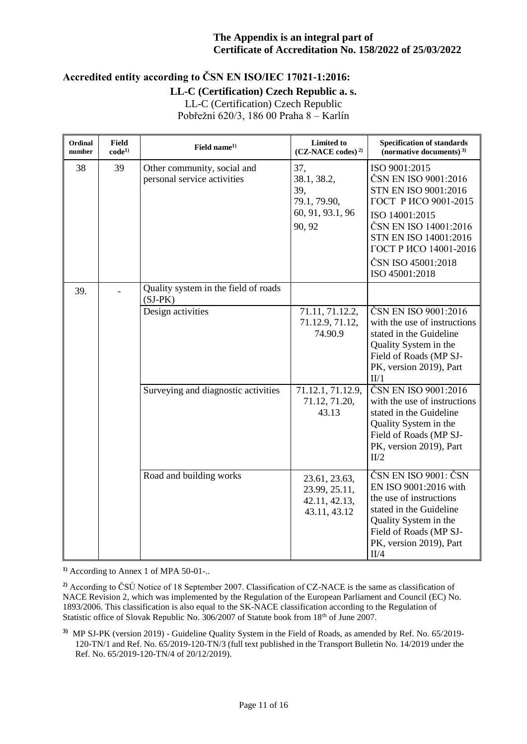# **Accredited entity according to ČSN EN ISO/IEC 17021-1:2016:**

#### **LL-C (Certification) Czech Republic a. s.**

LL-C (Certification) Czech Republic Pobřežní 620/3, 186 00 Praha 8 – Karlín

| Ordinal<br>number | <b>Field</b><br>$code^{1}$ | Field name <sup>1)</sup>                                   | <b>Limited to</b><br>$(CZ-NACE codes)^{2}$                              | <b>Specification of standards</b><br>(normative documents) $3$ )                                                                                                                                                           |
|-------------------|----------------------------|------------------------------------------------------------|-------------------------------------------------------------------------|----------------------------------------------------------------------------------------------------------------------------------------------------------------------------------------------------------------------------|
| 38                | 39                         | Other community, social and<br>personal service activities | 37,<br>38.1, 38.2,<br>39,<br>79.1, 79.90,<br>60, 91, 93.1, 96<br>90, 92 | ISO 9001:2015<br>ČSN EN ISO 9001:2016<br>STN EN ISO 9001:2016<br>ГОСТ Р ИСО 9001-2015<br>ISO 14001:2015<br>ČSN EN ISO 14001:2016<br>STN EN ISO 14001:2016<br>ГОСТ Р ИСО 14001-2016<br>ČSN ISO 45001:2018<br>ISO 45001:2018 |
| 39.               |                            | Quality system in the field of roads<br>$(SJ-PK)$          |                                                                         |                                                                                                                                                                                                                            |
|                   |                            | Design activities                                          | 71.11, 71.12.2,<br>71.12.9, 71.12,<br>74.90.9                           | ČSN EN ISO 9001:2016<br>with the use of instructions<br>stated in the Guideline<br>Quality System in the<br>Field of Roads (MP SJ-<br>PK, version 2019), Part<br>II/1                                                      |
|                   |                            | Surveying and diagnostic activities                        | 71.12.1, 71.12.9,<br>71.12, 71.20,<br>43.13                             | ČSN EN ISO 9001:2016<br>with the use of instructions<br>stated in the Guideline<br>Quality System in the<br>Field of Roads (MP SJ-<br>PK, version 2019), Part<br>II/2                                                      |
|                   |                            | Road and building works                                    | 23.61, 23.63,<br>23.99, 25.11,<br>42.11, 42.13,<br>43.11, 43.12         | ČSN EN ISO 9001: ČSN<br>EN ISO 9001:2016 with<br>the use of instructions<br>stated in the Guideline<br>Quality System in the<br>Field of Roads (MP SJ-<br>PK, version 2019), Part<br>II/4                                  |

**1)** According to Annex 1 of MPA 50-01-..

**2)** According to ČSÚ Notice of 18 September 2007. Classification of CZ-NACE is the same as classification of NACE Revision 2, which was implemented by the Regulation of the European Parliament and Council (EC) No. 1893/2006. This classification is also equal to the SK-NACE classification according to the Regulation of Statistic office of Slovak Republic No. 306/2007 of Statute book from 18<sup>th</sup> of June 2007.

**3)** MP SJ-PK (version 2019) - Guideline Quality System in the Field of Roads, as amended by Ref. No. 65/2019- 120-TN/1 and Ref. No. 65/2019-120-TN/3 (full text published in the Transport Bulletin No. 14/2019 under the Ref. No. 65/2019-120-TN/4 of 20/12/2019).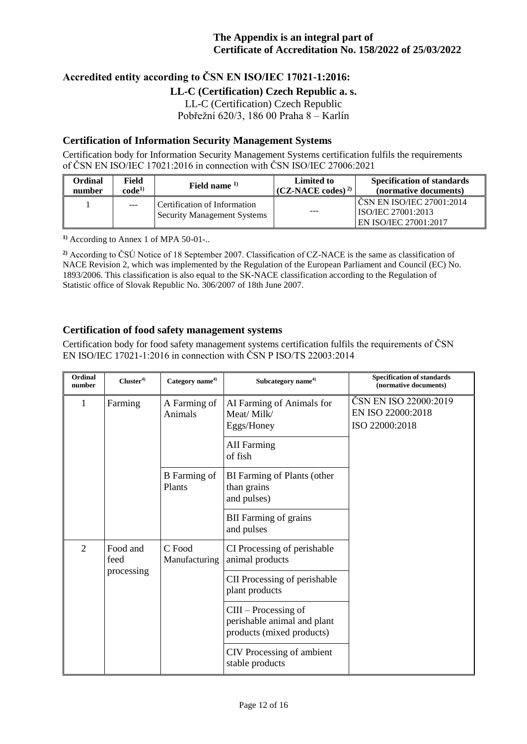# **Accredited entity according to ČSN EN ISO/IEC 17021-1:2016:**

**LL-C (Certification) Czech Republic a. s.**

LL-C (Certification) Czech Republic

Pobřežní 620/3, 186 00 Praha 8 – Karlín

#### **Certification of Information Security Management Systems**

Certification body for Information Security Management Systems certification fulfils the requirements of ČSN EN ISO/IEC 17021:2016 in connection with ČSN ISO/IEC 27006:2021

| Ordinal | Field       | Field name <sup>1)</sup>                                           | <b>Limited to</b>     | <b>Specification of standards</b>                                        |
|---------|-------------|--------------------------------------------------------------------|-----------------------|--------------------------------------------------------------------------|
| number  | $code^{1)}$ |                                                                    | $(CZ-NACE codes)^{2}$ | (normative documents)                                                    |
|         | $---$       | Certification of Information<br><b>Security Management Systems</b> | ---                   | CSN EN ISO/IEC 27001:2014<br>ISO/IEC 27001:2013<br>EN ISO/IEC 27001:2017 |

**1)** According to Annex 1 of MPA 50-01-..

**2)** According to ČSÚ Notice of 18 September 2007. Classification of CZ-NACE is the same as classification of NACE Revision 2, which was implemented by the Regulation of the European Parliament and Council (EC) No. 1893/2006. This classification is also equal to the SK-NACE classification according to the Regulation of Statistic office of Slovak Republic No. 306/2007 of 18th June 2007.

#### **Certification of food safety management systems**

Certification body for food safety management systems certification fulfils the requirements of ČSN EN ISO/IEC 17021-1:2016 in connection with ČSN P ISO/TS 22003:2014

| Ordinal<br>number | Cluster <sup>4</sup>           | Category name <sup>4)</sup>   | Subcategory name <sup>4)</sup>                                                     | <b>Specification of standards</b><br>(normative documents)   |
|-------------------|--------------------------------|-------------------------------|------------------------------------------------------------------------------------|--------------------------------------------------------------|
| 1                 | Farming                        | A Farming of<br>Animals       | AI Farming of Animals for<br>Meat/Milk/<br>Eggs/Honey                              | ČSN EN ISO 22000:2019<br>EN ISO 22000:2018<br>ISO 22000:2018 |
|                   |                                |                               | <b>AII</b> Farming<br>of fish                                                      |                                                              |
|                   |                                | <b>B</b> Farming of<br>Plants | BI Farming of Plants (other<br>than grains<br>and pulses)                          |                                                              |
|                   |                                |                               | <b>BII</b> Farming of grains<br>and pulses                                         |                                                              |
| $\overline{2}$    | Food and<br>feed<br>processing | C Food<br>Manufacturing       | CI Processing of perishable<br>animal products                                     |                                                              |
|                   |                                |                               | CII Processing of perishable<br>plant products                                     |                                                              |
|                   |                                |                               | $CIII - Processing of$<br>perishable animal and plant<br>products (mixed products) |                                                              |
|                   |                                |                               | CIV Processing of ambient<br>stable products                                       |                                                              |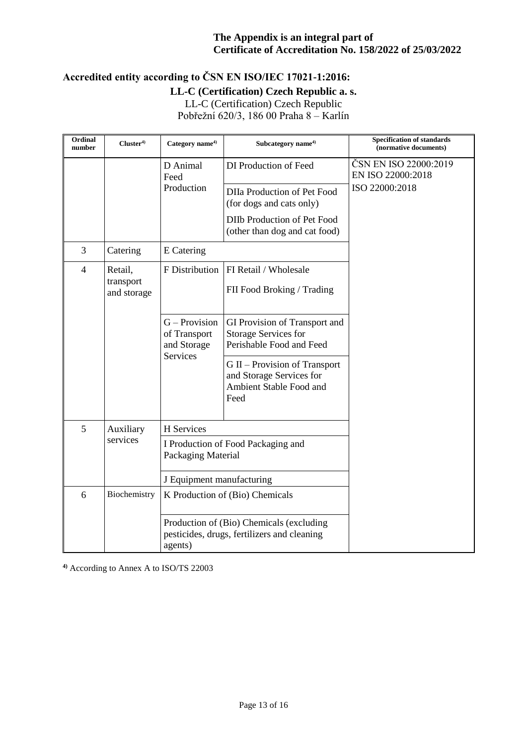# **Accredited entity according to ČSN EN ISO/IEC 17021-1:2016:**

# **LL-C (Certification) Czech Republic a. s.**

LL-C (Certification) Czech Republic Pobřežní 620/3, 186 00 Praha 8 – Karlín

| Ordinal<br>number | Cluster <sup>4</sup>                | Category name <sup>4)</sup>                              | Subcategory name <sup>4)</sup>                                                               | <b>Specification of standards</b><br>(normative documents) |
|-------------------|-------------------------------------|----------------------------------------------------------|----------------------------------------------------------------------------------------------|------------------------------------------------------------|
|                   | D Animal<br>Feed                    | DI Production of Feed                                    | ČSN EN ISO 22000:2019<br>EN ISO 22000:2018                                                   |                                                            |
|                   |                                     | Production                                               | <b>DIIa Production of Pet Food</b><br>(for dogs and cats only)                               | ISO 22000:2018                                             |
|                   |                                     |                                                          | DIIb Production of Pet Food<br>(other than dog and cat food)                                 |                                                            |
| 3                 | Catering                            | E Catering                                               |                                                                                              |                                                            |
| $\overline{4}$    | Retail,<br>transport<br>and storage | F Distribution                                           | FI Retail / Wholesale<br>FII Food Broking / Trading                                          |                                                            |
|                   |                                     | $G -$ Provision<br>of Transport<br>and Storage           | GI Provision of Transport and<br><b>Storage Services for</b><br>Perishable Food and Feed     |                                                            |
|                   |                                     | <b>Services</b>                                          | G II – Provision of Transport<br>and Storage Services for<br>Ambient Stable Food and<br>Feed |                                                            |
| 5                 | Auxiliary                           | H Services                                               |                                                                                              |                                                            |
|                   | services                            | I Production of Food Packaging and<br>Packaging Material |                                                                                              |                                                            |
|                   |                                     | J Equipment manufacturing                                |                                                                                              |                                                            |
| 6                 | Biochemistry                        | K Production of (Bio) Chemicals                          |                                                                                              |                                                            |
|                   |                                     | agents)                                                  | Production of (Bio) Chemicals (excluding<br>pesticides, drugs, fertilizers and cleaning      |                                                            |

**4)** According to Annex A to ISO/TS 22003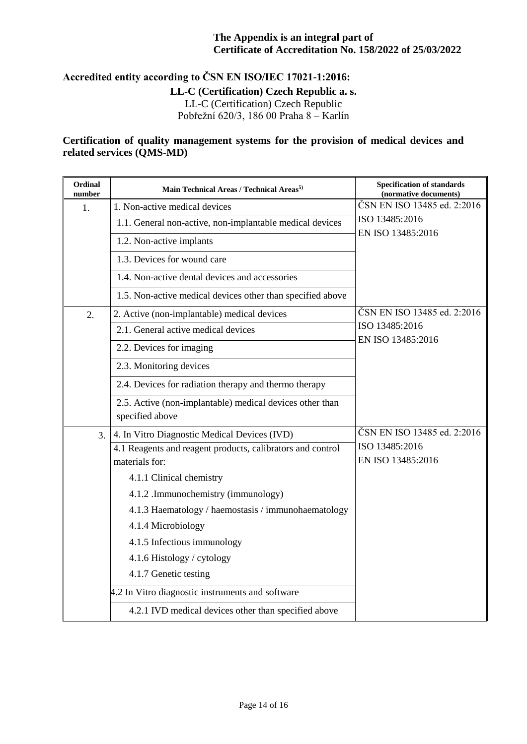# **Accredited entity according to ČSN EN ISO/IEC 17021-1:2016:**

**LL-C (Certification) Czech Republic a. s.**

LL-C (Certification) Czech Republic

Pobřežní 620/3, 186 00 Praha 8 – Karlín

#### **Certification of quality management systems for the provision of medical devices and related services (QMS-MD)**

| Ordinal<br>number | Main Technical Areas / Technical Areas <sup>5)</sup>       | <b>Specification of standards</b><br>(normative documents) |  |
|-------------------|------------------------------------------------------------|------------------------------------------------------------|--|
| 1.                | 1. Non-active medical devices                              | ČSN EN ISO 13485 ed. 2:2016                                |  |
|                   | 1.1. General non-active, non-implantable medical devices   | ISO 13485:2016<br>EN ISO 13485:2016                        |  |
|                   | 1.2. Non-active implants                                   |                                                            |  |
|                   | 1.3. Devices for wound care                                |                                                            |  |
|                   | 1.4. Non-active dental devices and accessories             |                                                            |  |
|                   | 1.5. Non-active medical devices other than specified above |                                                            |  |
| 2.                | 2. Active (non-implantable) medical devices                | ČSN EN ISO 13485 ed. 2:2016                                |  |
|                   | 2.1. General active medical devices                        | ISO 13485:2016                                             |  |
|                   | 2.2. Devices for imaging                                   | EN ISO 13485:2016                                          |  |
|                   | 2.3. Monitoring devices                                    |                                                            |  |
|                   | 2.4. Devices for radiation therapy and thermo therapy      |                                                            |  |
|                   | 2.5. Active (non-implantable) medical devices other than   |                                                            |  |
|                   | specified above                                            |                                                            |  |
| 3.                | 4. In Vitro Diagnostic Medical Devices (IVD)               | ČSN EN ISO 13485 ed. 2:2016                                |  |
|                   | 4.1 Reagents and reagent products, calibrators and control | ISO 13485:2016                                             |  |
|                   | materials for:                                             | EN ISO 13485:2016                                          |  |
|                   | 4.1.1 Clinical chemistry                                   |                                                            |  |
|                   | 4.1.2 .Immunochemistry (immunology)                        |                                                            |  |
|                   | 4.1.3 Haematology / haemostasis / immunohaematology        |                                                            |  |
|                   | 4.1.4 Microbiology                                         |                                                            |  |
|                   | 4.1.5 Infectious immunology                                |                                                            |  |
|                   | 4.1.6 Histology / cytology                                 |                                                            |  |
|                   | 4.1.7 Genetic testing                                      |                                                            |  |
|                   | 4.2 In Vitro diagnostic instruments and software           |                                                            |  |
|                   | 4.2.1 IVD medical devices other than specified above       |                                                            |  |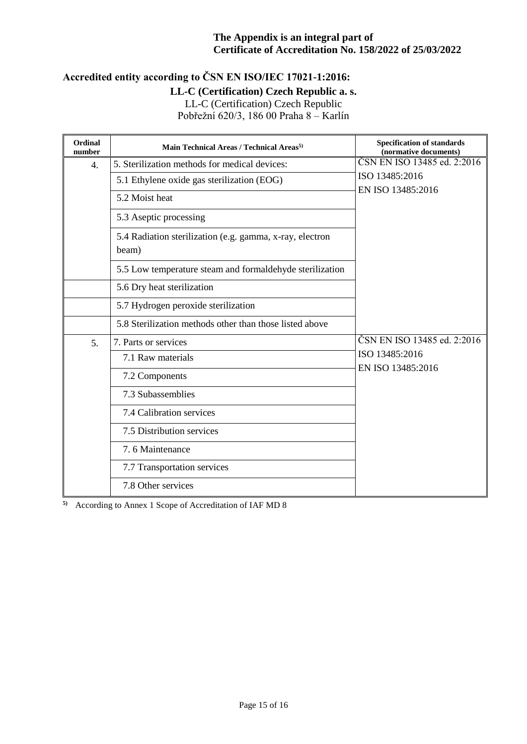# **Accredited entity according to ČSN EN ISO/IEC 17021-1:2016:**

### **LL-C (Certification) Czech Republic a. s.**

LL-C (Certification) Czech Republic

Pobřežní 620/3, 186 00 Praha 8 – Karlín

| Ordinal<br>number | Main Technical Areas / Technical Areas <sup>5)</sup>              | <b>Specification of standards</b><br>(normative documents)         |  |
|-------------------|-------------------------------------------------------------------|--------------------------------------------------------------------|--|
| $\overline{4}$ .  | 5. Sterilization methods for medical devices:                     | ČSN EN ISO 13485 ed. 2:2016                                        |  |
|                   | 5.1 Ethylene oxide gas sterilization (EOG)                        | ISO 13485:2016<br>EN ISO 13485:2016                                |  |
|                   | 5.2 Moist heat                                                    |                                                                    |  |
|                   | 5.3 Aseptic processing                                            |                                                                    |  |
|                   | 5.4 Radiation sterilization (e.g. gamma, x-ray, electron<br>beam) |                                                                    |  |
|                   | 5.5 Low temperature steam and formaldehyde sterilization          |                                                                    |  |
|                   | 5.6 Dry heat sterilization                                        |                                                                    |  |
|                   | 5.7 Hydrogen peroxide sterilization                               |                                                                    |  |
|                   | 5.8 Sterilization methods other than those listed above           |                                                                    |  |
| $\overline{5}$ .  | 7. Parts or services                                              | ČSN EN ISO 13485 ed. 2:2016<br>ISO 13485:2016<br>EN ISO 13485:2016 |  |
|                   | 7.1 Raw materials                                                 |                                                                    |  |
|                   | 7.2 Components                                                    |                                                                    |  |
|                   | 7.3 Subassemblies                                                 |                                                                    |  |
|                   | 7.4 Calibration services                                          |                                                                    |  |
|                   | 7.5 Distribution services                                         |                                                                    |  |
|                   | 7.6 Maintenance                                                   |                                                                    |  |
|                   | 7.7 Transportation services                                       |                                                                    |  |
|                   | 7.8 Other services                                                |                                                                    |  |

**5)** According to Annex 1 Scope of Accreditation of IAF MD 8